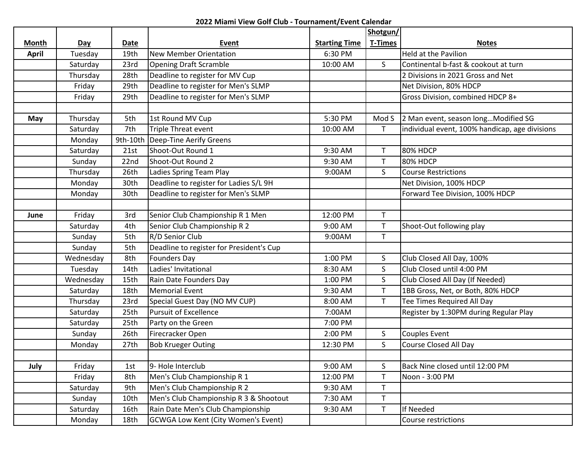## **2022 Miami View Golf Club - Tournament/Event Calendar**

|              |           |                  |                                            |                      | Shotgun/       |                                                |
|--------------|-----------|------------------|--------------------------------------------|----------------------|----------------|------------------------------------------------|
| <b>Month</b> | Day       | Date             | <b>Event</b>                               | <b>Starting Time</b> | <b>T-Times</b> | <b>Notes</b>                                   |
| <b>April</b> | Tuesday   | 19th             | <b>New Member Orientation</b>              | 6:30 PM              |                | <b>Held at the Pavilion</b>                    |
|              | Saturday  | 23rd             | <b>Opening Draft Scramble</b>              | 10:00 AM             | $\mathsf{S}$   | Continental b-fast & cookout at turn           |
|              | Thursday  | 28th             | Deadline to register for MV Cup            |                      |                | 2 Divisions in 2021 Gross and Net              |
|              | Friday    | 29th             | Deadline to register for Men's SLMP        |                      |                | Net Division, 80% HDCP                         |
|              | Friday    | 29th             | Deadline to register for Men's SLMP        |                      |                | Gross Division, combined HDCP 8+               |
|              |           |                  |                                            |                      |                |                                                |
| May          | Thursday  | 5th              | 1st Round MV Cup                           | 5:30 PM              |                | Mod S 2 Man event, season longModified SG      |
|              | Saturday  | 7th              | Triple Threat event                        | 10:00 AM             | T.             | individual event, 100% handicap, age divisions |
|              | Monday    | 9th-10th         | Deep-Tine Aerify Greens                    |                      |                |                                                |
|              | Saturday  | 21st             | Shoot-Out Round 1                          | 9:30 AM              | T              | <b>80% HDCP</b>                                |
|              | Sunday    | 22 <sub>nd</sub> | Shoot-Out Round 2                          | 9:30 AM              | T.             | 80% HDCP                                       |
|              | Thursday  | 26th             | Ladies Spring Team Play                    | 9:00AM               | $\mathsf{S}$   | <b>Course Restrictions</b>                     |
|              | Monday    | 30th             | Deadline to register for Ladies S/L 9H     |                      |                | Net Division, 100% HDCP                        |
|              | Monday    | 30th             | Deadline to register for Men's SLMP        |                      |                | Forward Tee Division, 100% HDCP                |
|              |           |                  |                                            |                      |                |                                                |
| June         | Friday    | 3rd              | Senior Club Championship R 1 Men           | 12:00 PM             | $\mathsf{T}$   |                                                |
|              | Saturday  | 4th              | Senior Club Championship R 2               | 9:00 AM              | $\mathsf T$    | Shoot-Out following play                       |
|              | Sunday    | 5th              | R/D Senior Club                            | 9:00AM               | $\mathsf{T}$   |                                                |
|              | Sunday    | 5th              | Deadline to register for President's Cup   |                      |                |                                                |
|              | Wednesday | 8th              | <b>Founders Day</b>                        | 1:00 PM              | S              | Club Closed All Day, 100%                      |
|              | Tuesday   | 14th             | Ladies' Invitational                       | 8:30 AM              | S              | Club Closed until 4:00 PM                      |
|              | Wednesday | 15th             | Rain Date Founders Day                     | 1:00 PM              | $\mathsf{S}$   | Club Closed All Day (If Needed)                |
|              | Saturday  | 18th             | <b>Memorial Event</b>                      | 9:30 AM              | T.             | 1BB Gross, Net, or Both, 80% HDCP              |
|              | Thursday  | 23rd             | Special Guest Day (NO MV CUP)              | 8:00 AM              | $\mathsf{T}$   | Tee Times Required All Day                     |
|              | Saturday  | 25th             | <b>Pursuit of Excellence</b>               | 7:00AM               |                | Register by 1:30PM during Regular Play         |
|              | Saturday  | 25th             | Party on the Green                         | 7:00 PM              |                |                                                |
|              | Sunday    | 26th             | Firecracker Open                           | 2:00 PM              | S              | Couples Event                                  |
|              | Monday    | 27th             | <b>Bob Krueger Outing</b>                  | 12:30 PM             | $\mathsf{S}$   | <b>Course Closed All Day</b>                   |
|              |           |                  |                                            |                      |                |                                                |
| July         | Friday    | 1st              | 9- Hole Interclub                          | 9:00 AM              | S              | Back Nine closed until 12:00 PM                |
|              | Friday    | 8th              | Men's Club Championship R 1                | 12:00 PM             | $\mathsf{T}$   | Noon - 3:00 PM                                 |
|              | Saturday  | 9th              | Men's Club Championship R 2                | 9:30 AM              | T              |                                                |
|              | Sunday    | 10th             | Men's Club Championship R 3 & Shootout     | 7:30 AM              | $\mathsf{T}$   |                                                |
|              | Saturday  | 16th             | Rain Date Men's Club Championship          | 9:30 AM              | $\mathsf{T}$   | If Needed                                      |
|              | Monday    | 18th             | <b>GCWGA Low Kent (City Women's Event)</b> |                      |                | Course restrictions                            |